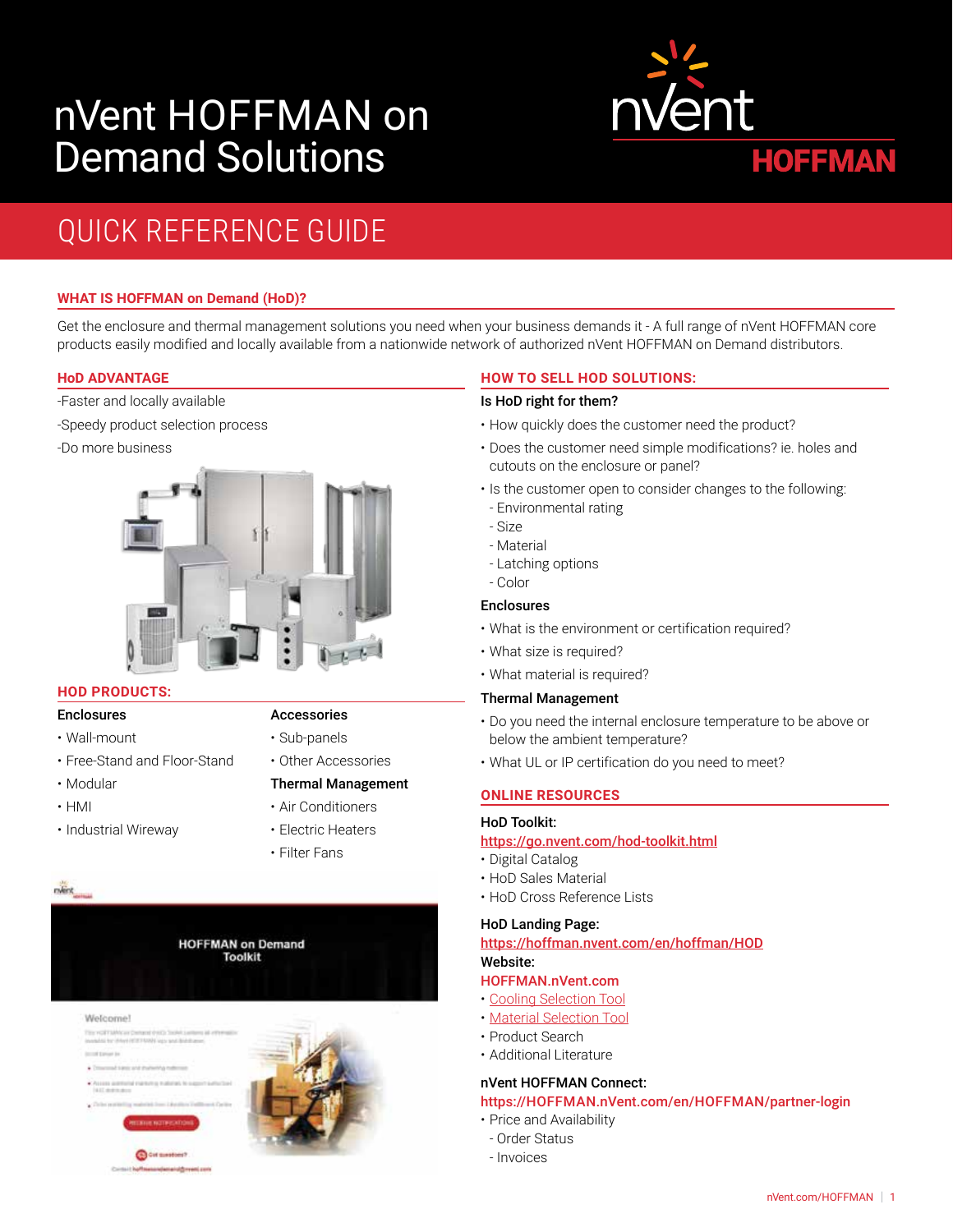# nVent HOFFMAN on Demand Solutions



# QUICK REFERENCE GUIDE

# **WHAT IS HOFFMAN on Demand (HoD)?**

Get the enclosure and thermal management solutions you need when your business demands it - A full range of nVent HOFFMAN core products easily modified and locally available from a nationwide network of authorized nVent HOFFMAN on Demand distributors.

# **HoD ADVANTAGE**

- -Faster and locally available
- -Speedy product selection process
- -Do more business



# **HOD PRODUCTS:**

# Enclosures

- Wall-mount
- Free-Stand and Floor-Stand
- Modular
- HMI

niert.

• Industrial Wireway

# Accessories

- Sub-panels
- Other Accessories
- Thermal Management
- Air Conditioners
- Electric Heaters
- Filter Fans



# **HOW TO SELL HOD SOLUTIONS:**

#### Is HoD right for them?

- How quickly does the customer need the product?
- Does the customer need simple modifications? ie. holes and cutouts on the enclosure or panel?
- Is the customer open to consider changes to the following: - Environmental rating
- Size
- Material
- Latching options
- Color

# Enclosures

- What is the environment or certification required?
- What size is required?
- What material is required?

# Thermal Management

- Do you need the internal enclosure temperature to be above or below the ambient temperature?
- What UL or IP certification do you need to meet?

# **ONLINE RESOURCES**

# HoD Toolkit:

## [https://go.nvent.com/hod-toolkit.html](https://go.nvent.com/hod-toolkit.html )

- [Digital Catalog](https://go.nvent.com/hod-toolkit.html )
- [HoD Sales Material](https://go.nvent.com/hod-toolkit.html )
- [HoD Cross Reference Lists](https://go.nvent.com/hod-toolkit.html )

# HoD Landing Page:

### https://hoffman.nvent.com/en/hoffman/HOD Website:

#### [HOFFMAN.nVent.com](http://HOFFMAN.nVent.com)

- [Cooling Selection Tool](http://coolingtool.nvent.com)
- [Material Selection Tool](http://materialselection.nvent.com)
- Product Search
- Additional [Literature](https://custompoint.rrd.com/xs2/prelogin?CMPID=7706&&qwerty=19031102)

# nVent HOFFMAN Connect:

#### [https://HOFFMAN.nVent.com/en/HOFFMAN/partner-login](https://hoffman.nVent.com/en/hoffman/partner-login)

- Price and Availability
- Order Status
- Invoices